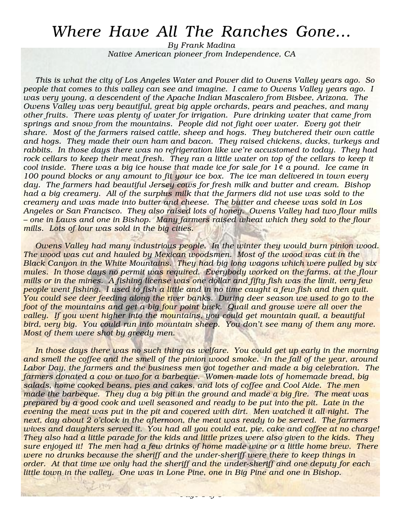## Where Have All The Ranches Gone…

By Frank Madina Native American pioneer from Independence, CA

This is what the city of Los Angeles Water and Power did to Owens Valley years ago. So people that comes to this valley can see and imagine. I came to Owens Valley years ago. I was very young, a descendent of the Apache Indian Mascalero from Bisbee, Arizona. The Owens Valley was very beautiful, great big apple orchards, pears and peaches, and many other fruits. There was plenty of water for irrigation. Pure drinking water that came from springs and snow from the mountains. People did not fight over water. Every got their share. Most of the farmers raised cattle, sheep and hogs. They butchered their own cattle and hogs. They made their own ham and bacon. They raised chickens, ducks, turkeys and rabbits. In those days there was no refrigeration like we're accustomed to today. They had rock cellars to keep their meat fresh. They ran a little water on top of the cellars to keep it cool inside. There was a big ice house that made ice for sale for  $1¢$  a pound. Ice came in 100 pound blocks or any amount to fit your ice box. The ice man delivered in town every day. The farmers had beautiful Jersey cows for fresh milk and butter and cream. Bishop had a big creamery. All of the surplus milk that the farmers did not use was sold to the creamery and was made into butter and cheese. The butter and cheese was sold in Los Angeles or San Francisco. They also raised lots of honey. Owens Valley had two flour mills – one in Laws and one in Bishop. Many farmers raised wheat which they sold to the flour mills. Lots of lour was sold in the big cities.

Owens Valley had many industrious people. In the winter they would burn pinion wood. The wood was cut and hauled by Mexican woodsmen. Most of the wood was cut in the Black Canyon in the White Mountains. They had big long wagons which were pulled by six mules. In those days no permit was required. Everybody worked on the farms, at the flour mills or in the mines. A fishing license was one dollar and fifty fish was the limit, very few people went fishing. I used to fish a little and in no time caught a few fish and then quit. You could see deer feeding along the river banks. During deer season we used to go to the foot of the mountains and get a big four point buck. Quail and grouse were all over the valley. If you went higher into the mountains, you could get mountain quail, a beautiful bird, very big. You could run into mountain sheep. You don't see many of them any more. Most of them were shot by greedy men.

In those days there was no such thing as welfare. You could get up early in the morning and smell the coffee and the smell of the pinion wood smoke. In the fall of the year, around Labor Day, the farmers and the business men got together and made a big celebration. The farmers donated a cow or two for a barbeque. Women made lots of homemade bread, big salads, home cooked beans, pies and cakes, and lots of coffee and Cool Aide. The men made the barbeque. They dug a big pit in the ground and made a big fire. The meat was prepared by a good cook and well seasoned and ready to be put into the pit. Late in the evening the meat was put in the pit and covered with dirt. Men watched it all night. The next, day about 2 o'clock in the afternoon, the meat was ready to be served. The farmers wives and daughters served it. You had all you could eat, pie, cake and coffee at no charge! They also had a little parade for the kids and little prizes were also given to the kids. They sure enjoyed it! The men had a few drinks of home made wine or a little home brew. There were no drunks because the sheriff and the under-sheriff were there to keep things in order. At that time we only had the sheriff and the under-sheriff and one deputy for each little town in the valley. One was in Lone Pine, one in Big Pine and one in Bishop.

 $\frac{1}{2}$  original  $\frac{1}{2}$  of  $\frac{1}{2}$ 

5 1904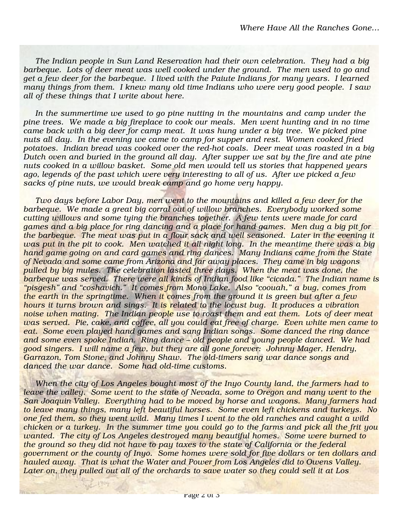The Indian people in Sun Land Reservation had their own celebration. They had a big barbeque. Lots of deer meat was well cooked under the ground. The men used to go and get a few deer for the barbeque. I lived with the Paiute Indians for many years. I learned many things from them. I knew many old time Indians who were very good people. I saw all of these things that I write about here.

In the summertime we used to go pine nutting in the mountains and camp under the pine trees. We made a big fireplace to cook our meals. Men went hunting and in no time came back with a big deer for camp meat. It was hung under a big tree. We picked pine nuts all day. In the evening we came to camp for supper and rest. Women cooked fried potatoes. Indian bread was cooked over the red-hot coals. Deer meat was roasted in a big Dutch oven and buried in the ground all day. After supper we sat by the fire and ate pine nuts cooked in a willow basket. Some old men would tell us stories that happened years ago, legends of the past which were very interesting to all of us. After we picked a few sacks of pine nuts, we would break camp and go home very happy.

Two days before Labor Day, men went to the mountains and killed a few deer for the barbeque. We made a great big corral out of willow branches. Everybody worked some cutting willows and some tying the branches together. A few tents were made for card games and a big place for ring dancing and a place for hand games. Men dug a big pit for the barbeque. The meat was put in a flour sack and well seasoned. Later in the evening it was put in the pit to cook. Men watched it all night long. In the meantime there was a big hand game going on and card games and ring dances. Many Indians came from the State of Nevada and some came from Arizona and far away places. They came in big wagons pulled by big mules. The celebration lasted three days. When the meat was done, the barbeque was served. There were all kinds of Indian food like "cicada." The Indian name is "pisgesh" and "coshavich." It comes from Mono Lake. Also "coouah," a bug, comes from the earth in the springtime. When it comes from the ground it is green but after a few hours it turns brown and sings. It is related to the locust bug. It produces a vibration noise when mating. The Indian people use to roast them and eat them. Lots of deer meat was served. Pie, cake, and coffee, all you could eat free of charge. Even white men came to eat. Some even played hand games and sang Indian songs. Some danced the ring dance and some even spoke Indian. Ring dance – old people and young people danced. We had good singers. I will name a few, but they are all gone forever: Johnny Mager, Hendry, Garrazon, Tom Stone, and Johnny Shaw. The old-timers sang war dance songs and danced the war dance. Some had old-time customs.

When the city of Los Angeles bought most of the Inyo County land, the farmers had to leave the valley. Some went to the state of Nevada, some to Oregon and many went to the San Joaquin Valley. Everything had to be moved by horse and wagons. Many farmers had to leave many things, many left beautiful horses. Some even left chickens and turkeys. No one fed them, so they went wild. Many times I went to the old ranches and caught a wild chicken or a turkey. In the summer time you could go to the farms and pick all the frit you wanted. The city of Los Angeles destroyed many beautiful homes. Some were burned to the ground so they did not have to pay taxes to the state of California or the federal government or the county of Inyo. Some homes were sold for five dollars or ten dollars and hauled away. That is what the Water and Power from Los Angeles did to Owens Valley. Later on, they pulled out all of the orchards to save water so they could sell it at Los

1904